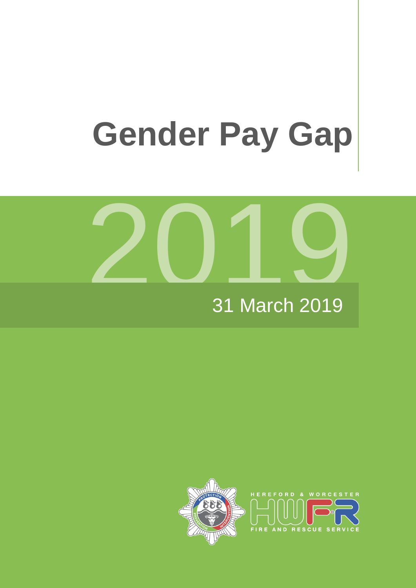# **Gender Pay Gap**



## 31 March 201 9

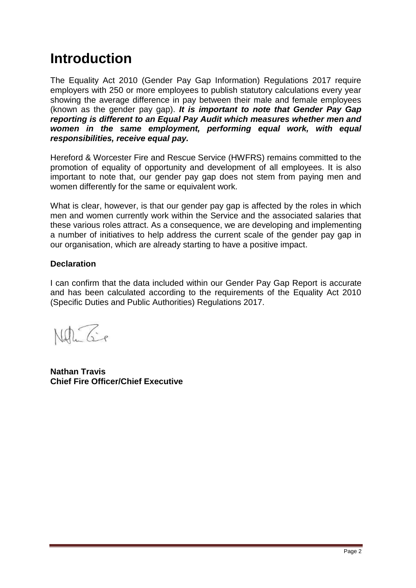# **Introduction**

The Equality Act 2010 (Gender Pay Gap Information) Regulations 2017 require employers with 250 or more employees to publish statutory calculations every year showing the average difference in pay between their male and female employees (known as the gender pay gap). *It is important to note that Gender Pay Gap reporting is different to an Equal Pay Audit which measures whether men and women in the same employment, performing equal work, with equal responsibilities, receive equal pay.*

Hereford & Worcester Fire and Rescue Service (HWFRS) remains committed to the promotion of equality of opportunity and development of all employees. It is also important to note that, our gender pay gap does not stem from paying men and women differently for the same or equivalent work.

What is clear, however, is that our gender pay gap is affected by the roles in which men and women currently work within the Service and the associated salaries that these various roles attract. As a consequence, we are developing and implementing a number of initiatives to help address the current scale of the gender pay gap in our organisation, which are already starting to have a positive impact.

#### **Declaration**

I can confirm that the data included within our Gender Pay Gap Report is accurate and has been calculated according to the requirements of the Equality Act 2010 (Specific Duties and Public Authorities) Regulations 2017.

Naturaie

**Nathan Travis Chief Fire Officer/Chief Executive**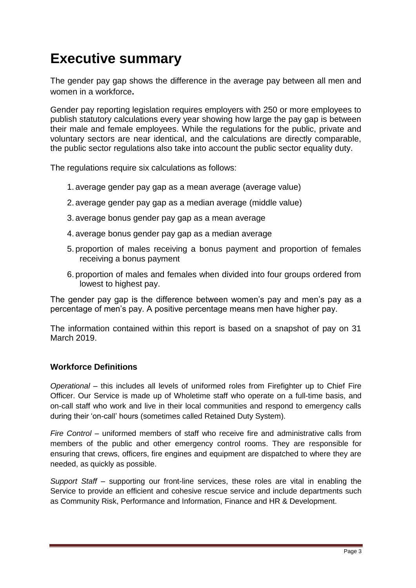# **Executive summary**

The gender pay gap shows the difference in the average pay between all men and women in a workforce**.** 

Gender pay reporting legislation requires employers with 250 or more employees to publish statutory calculations every year showing how large the pay gap is between their male and female employees. While the regulations for the public, private and voluntary sectors are near identical, and the calculations are directly comparable, the public sector regulations also take into account the public sector equality duty.

The regulations require six calculations as follows:

- 1. average gender pay gap as a mean average (average value)
- 2. average gender pay gap as a median average (middle value)
- 3. average bonus gender pay gap as a mean average
- 4. average bonus gender pay gap as a median average
- 5. proportion of males receiving a bonus payment and proportion of females receiving a bonus payment
- 6. proportion of males and females when divided into four groups ordered from lowest to highest pay.

The gender pay gap is the difference between women's pay and men's pay as a percentage of men's pay. A positive percentage means men have higher pay.

The information contained within this report is based on a snapshot of pay on 31 March 2019.

## **Workforce Definitions**

*Operational* – this includes all levels of uniformed roles from Firefighter up to Chief Fire Officer. Our Service is made up of Wholetime staff who operate on a full-time basis, and on-call staff who work and live in their local communities and respond to emergency calls during their 'on-call' hours (sometimes called Retained Duty System).

*Fire Control* – uniformed members of staff who receive fire and administrative calls from members of the public and other emergency control rooms. They are responsible for ensuring that crews, officers, fire engines and equipment are dispatched to where they are needed, as quickly as possible.

*Support Staff* – supporting our front-line services, these roles are vital in enabling the Service to provide an efficient and cohesive rescue service and include departments such as Community Risk, Performance and Information, Finance and HR & Development.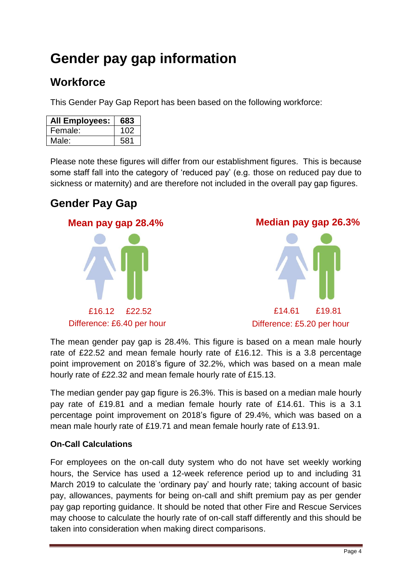# **Gender pay gap information**

## **Workforce**

This Gender Pay Gap Report has been based on the following workforce:

| <b>All Employees:</b> | 683 |
|-----------------------|-----|
| Female:               | 102 |
| Male:                 | 581 |

Please note these figures will differ from our establishment figures. This is because some staff fall into the category of 'reduced pay' (e.g. those on reduced pay due to sickness or maternity) and are therefore not included in the overall pay gap figures.

## **Gender Pay Gap**





The mean gender pay gap is 28.4%. This figure is based on a mean male hourly rate of £22.52 and mean female hourly rate of £16.12. This is a 3.8 percentage point improvement on 2018's figure of 32.2%, which was based on a mean male hourly rate of £22.32 and mean female hourly rate of £15.13.

The median gender pay gap figure is 26.3%. This is based on a median male hourly pay rate of £19.81 and a median female hourly rate of £14.61. This is a 3.1 percentage point improvement on 2018's figure of 29.4%, which was based on a mean male hourly rate of £19.71 and mean female hourly rate of £13.91.

## **On-Call Calculations**

For employees on the on-call duty system who do not have set weekly working hours, the Service has used a 12-week reference period up to and including 31 March 2019 to calculate the 'ordinary pay' and hourly rate; taking account of basic pay, allowances, payments for being on-call and shift premium pay as per gender pay gap reporting guidance. It should be noted that other Fire and Rescue Services may choose to calculate the hourly rate of on-call staff differently and this should be taken into consideration when making direct comparisons.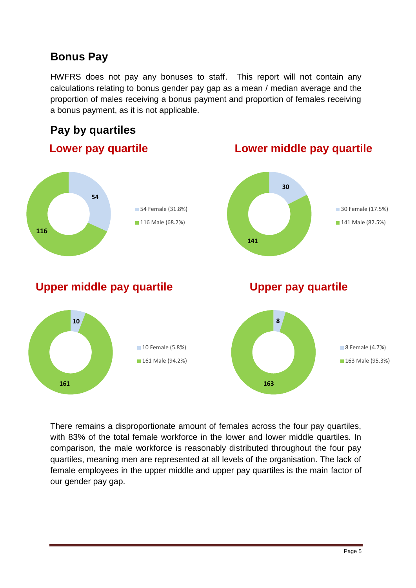## **Bonus Pay**

HWFRS does not pay any bonuses to staff. This report will not contain any calculations relating to bonus gender pay gap as a mean / median average and the proportion of males receiving a bonus payment and proportion of females receiving a bonus payment, as it is not applicable.

## **Pay by quartiles**



There remains a disproportionate amount of females across the four pay quartiles, with 83% of the total female workforce in the lower and lower middle quartiles. In comparison, the male workforce is reasonably distributed throughout the four pay quartiles, meaning men are represented at all levels of the organisation. The lack of female employees in the upper middle and upper pay quartiles is the main factor of our gender pay gap.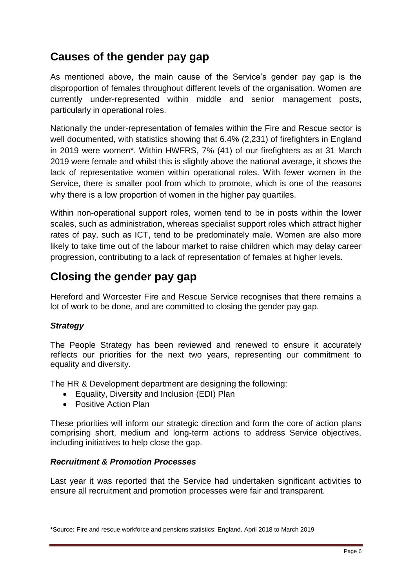## **Causes of the gender pay gap**

As mentioned above, the main cause of the Service's gender pay gap is the disproportion of females throughout different levels of the organisation. Women are currently under-represented within middle and senior management posts, particularly in operational roles.

Nationally the under-representation of females within the Fire and Rescue sector is well documented, with statistics showing that 6.4% (2,231) of firefighters in England in 2019 were women\*. Within HWFRS, 7% (41) of our firefighters as at 31 March 2019 were female and whilst this is slightly above the national average, it shows the lack of representative women within operational roles. With fewer women in the Service, there is smaller pool from which to promote, which is one of the reasons why there is a low proportion of women in the higher pay quartiles.

Within non-operational support roles, women tend to be in posts within the lower scales, such as administration, whereas specialist support roles which attract higher rates of pay, such as ICT, tend to be predominately male. Women are also more likely to take time out of the labour market to raise children which may delay career progression, contributing to a lack of representation of females at higher levels.

## **Closing the gender pay gap**

Hereford and Worcester Fire and Rescue Service recognises that there remains a lot of work to be done, and are committed to closing the gender pay gap.

## *Strategy*

The People Strategy has been reviewed and renewed to ensure it accurately reflects our priorities for the next two years, representing our commitment to equality and diversity.

The HR & Development department are designing the following:

- Equality, Diversity and Inclusion (EDI) Plan
- Positive Action Plan

These priorities will inform our strategic direction and form the core of action plans comprising short, medium and long-term actions to address Service objectives, including initiatives to help close the gap.

#### *Recruitment & Promotion Processes*

Last year it was reported that the Service had undertaken significant activities to ensure all recruitment and promotion processes were fair and transparent.

<sup>\*</sup>Source**:** Fire and rescue workforce and pensions statistics: England, April 2018 to March 2019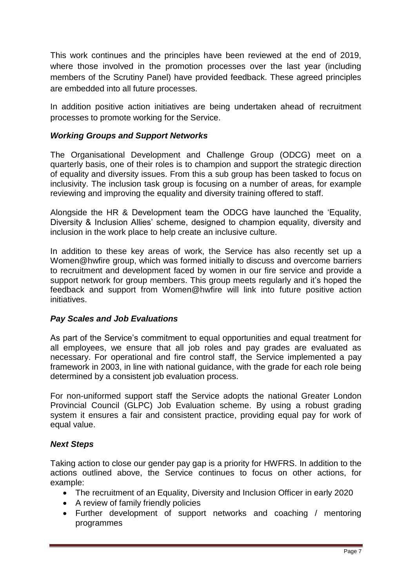This work continues and the principles have been reviewed at the end of 2019, where those involved in the promotion processes over the last year (including members of the Scrutiny Panel) have provided feedback. These agreed principles are embedded into all future processes.

In addition positive action initiatives are being undertaken ahead of recruitment processes to promote working for the Service.

## *Working Groups and Support Networks*

The Organisational Development and Challenge Group (ODCG) meet on a quarterly basis, one of their roles is to champion and support the strategic direction of equality and diversity issues. From this a sub group has been tasked to focus on inclusivity. The inclusion task group is focusing on a number of areas, for example reviewing and improving the equality and diversity training offered to staff.

Alongside the HR & Development team the ODCG have launched the 'Equality, Diversity & Inclusion Allies' scheme, designed to champion equality, diversity and inclusion in the work place to help create an inclusive culture.

In addition to these key areas of work, the Service has also recently set up a Women@hwfire group, which was formed initially to discuss and overcome barriers to recruitment and development faced by women in our fire service and provide a support network for group members. This group meets regularly and it's hoped the feedback and support from Women@hwfire will link into future positive action initiatives.

#### *Pay Scales and Job Evaluations*

As part of the Service's commitment to equal opportunities and equal treatment for all employees, we ensure that all job roles and pay grades are evaluated as necessary. For operational and fire control staff, the Service implemented a pay framework in 2003, in line with national guidance, with the grade for each role being determined by a consistent job evaluation process.

For non-uniformed support staff the Service adopts the national Greater London Provincial Council (GLPC) Job Evaluation scheme. By using a robust grading system it ensures a fair and consistent practice, providing equal pay for work of equal value.

#### *Next Steps*

Taking action to close our gender pay gap is a priority for HWFRS. In addition to the actions outlined above, the Service continues to focus on other actions, for example:

- The recruitment of an Equality, Diversity and Inclusion Officer in early 2020
- A review of family friendly policies
- Further development of support networks and coaching / mentoring programmes